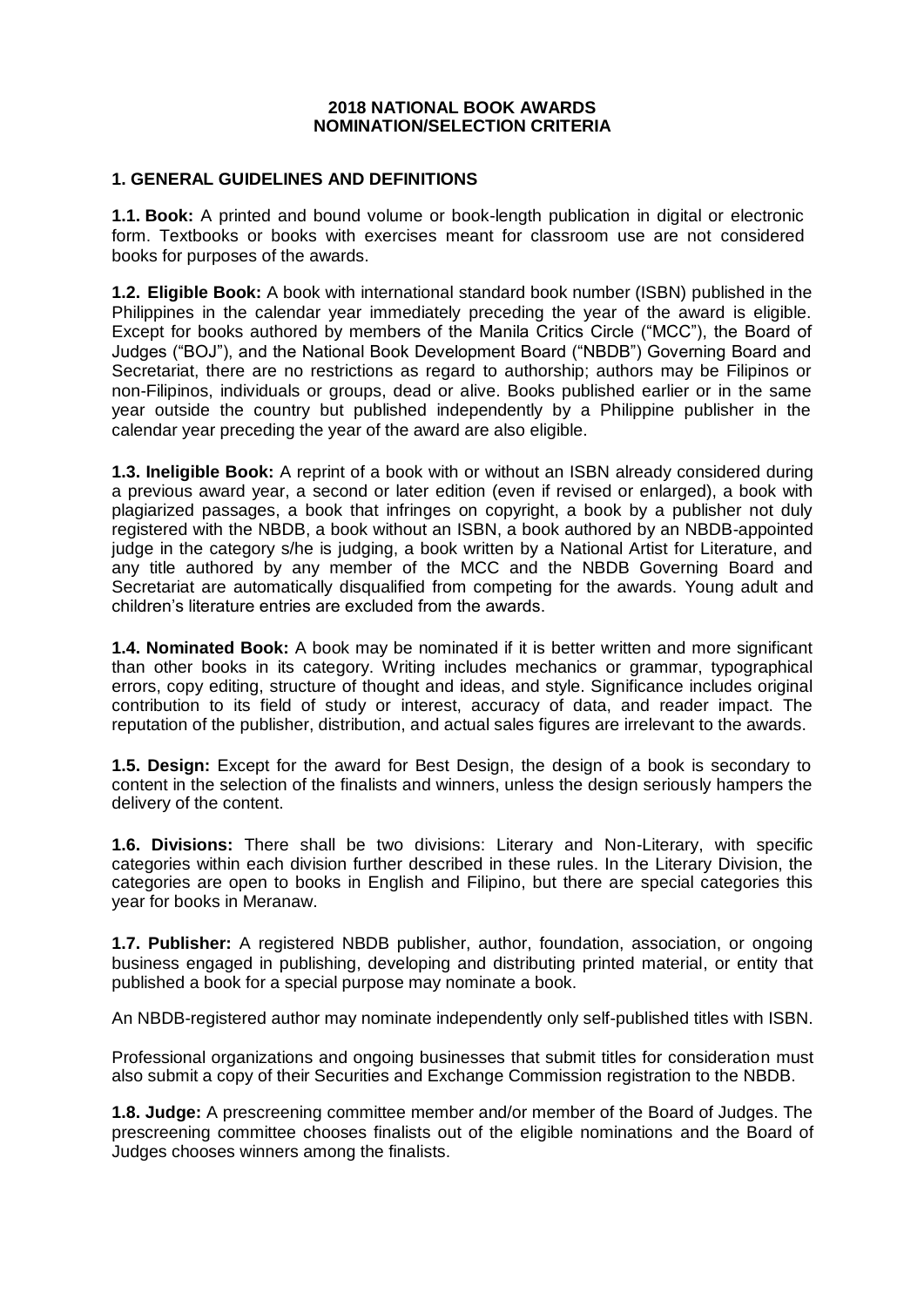#### **2018 NATIONAL BOOK AWARDS NOMINATION/SELECTION CRITERIA**

#### **1. GENERAL GUIDELINES AND DEFINITIONS**

**1.1. Book:** A printed and bound volume or book-length publication in digital or electronic form. Textbooks or books with exercises meant for classroom use are not considered books for purposes of the awards.

**1.2. Eligible Book:** A book with international standard book number (ISBN) published in the Philippines in the calendar year immediately preceding the year of the award is eligible. Except for books authored by members of the Manila Critics Circle ("MCC"), the Board of Judges ("BOJ"), and the National Book Development Board ("NBDB") Governing Board and Secretariat, there are no restrictions as regard to authorship; authors may be Filipinos or non-Filipinos, individuals or groups, dead or alive. Books published earlier or in the same year outside the country but published independently by a Philippine publisher in the calendar year preceding the year of the award are also eligible.

**1.3. Ineligible Book:** A reprint of a book with or without an ISBN already considered during a previous award year, a second or later edition (even if revised or enlarged), a book with plagiarized passages, a book that infringes on copyright, a book by a publisher not duly registered with the NBDB, a book without an ISBN, a book authored by an NBDB-appointed judge in the category s/he is judging, a book written by a National Artist for Literature, and any title authored by any member of the MCC and the NBDB Governing Board and Secretariat are automatically disqualified from competing for the awards. Young adult and children's literature entries are excluded from the awards.

**1.4. Nominated Book:** A book may be nominated if it is better written and more significant than other books in its category. Writing includes mechanics or grammar, typographical errors, copy editing, structure of thought and ideas, and style. Significance includes original contribution to its field of study or interest, accuracy of data, and reader impact. The reputation of the publisher, distribution, and actual sales figures are irrelevant to the awards.

**1.5. Design:** Except for the award for Best Design, the design of a book is secondary to content in the selection of the finalists and winners, unless the design seriously hampers the delivery of the content.

**1.6. Divisions:** There shall be two divisions: Literary and Non-Literary, with specific categories within each division further described in these rules. In the Literary Division, the categories are open to books in English and Filipino, but there are special categories this year for books in Meranaw.

**1.7. Publisher:** A registered NBDB publisher, author, foundation, association, or ongoing business engaged in publishing, developing and distributing printed material, or entity that published a book for a special purpose may nominate a book.

An NBDB-registered author may nominate independently only self-published titles with ISBN.

Professional organizations and ongoing businesses that submit titles for consideration must also submit a copy of their Securities and Exchange Commission registration to the NBDB.

**1.8. Judge:** A prescreening committee member and/or member of the Board of Judges. The prescreening committee chooses finalists out of the eligible nominations and the Board of Judges chooses winners among the finalists.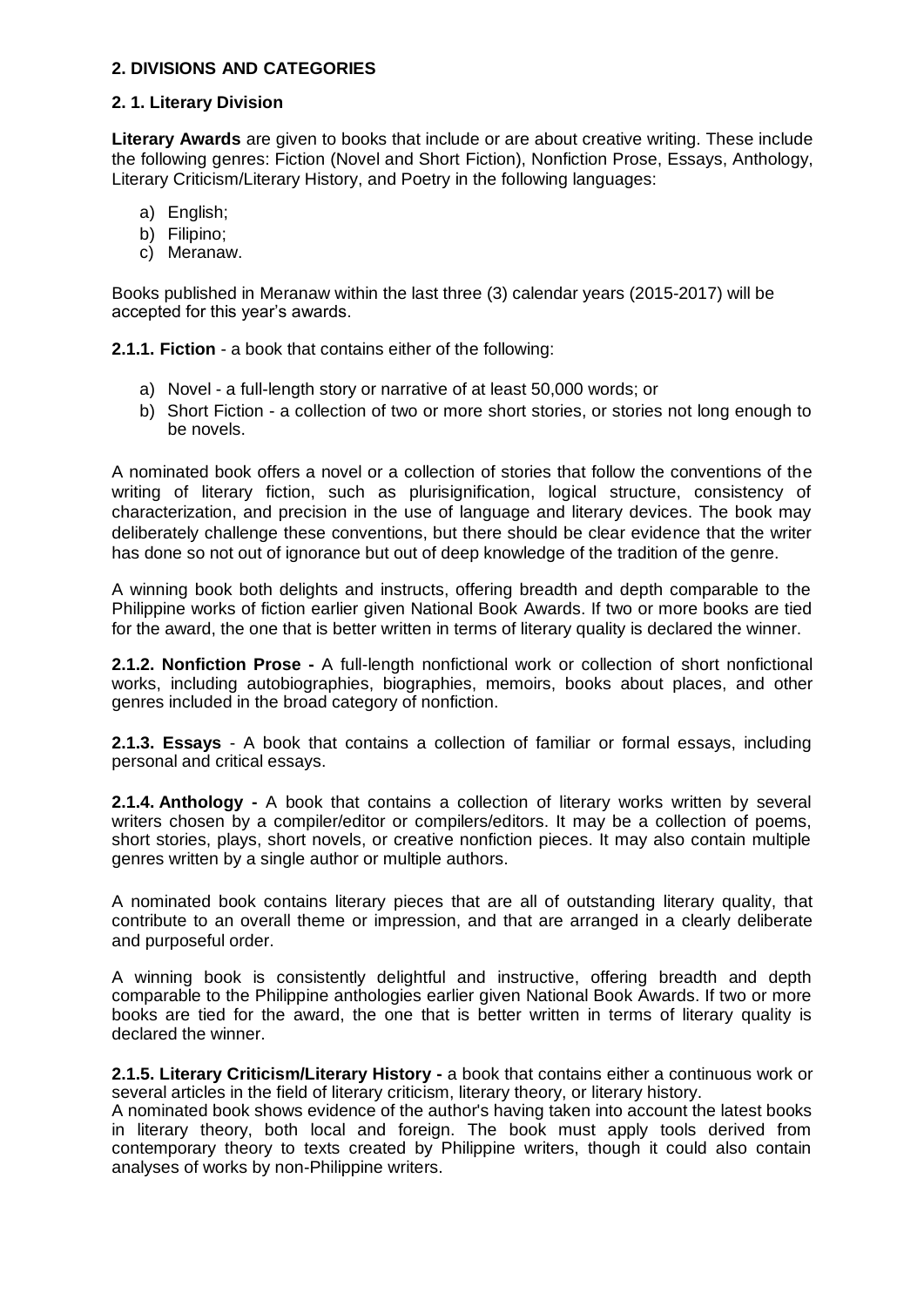## **2. DIVISIONS AND CATEGORIES**

## **2. 1. Literary Division**

**Literary Awards** are given to books that include or are about creative writing. These include the following genres: Fiction (Novel and Short Fiction), Nonfiction Prose, Essays, Anthology, Literary Criticism/Literary History, and Poetry in the following languages:

- a) English;
- b) Filipino;
- c) Meranaw.

Books published in Meranaw within the last three (3) calendar years (2015-2017) will be accepted for this year's awards.

**2.1.1. Fiction** - a book that contains either of the following:

- a) Novel a full-length story or narrative of at least 50,000 words; or
- b) Short Fiction a collection of two or more short stories, or stories not long enough to be novels.

A nominated book offers a novel or a collection of stories that follow the conventions of the writing of literary fiction, such as plurisignification, logical structure, consistency of characterization, and precision in the use of language and literary devices. The book may deliberately challenge these conventions, but there should be clear evidence that the writer has done so not out of ignorance but out of deep knowledge of the tradition of the genre.

A winning book both delights and instructs, offering breadth and depth comparable to the Philippine works of fiction earlier given National Book Awards. If two or more books are tied for the award, the one that is better written in terms of literary quality is declared the winner.

**2.1.2. Nonfiction Prose -** A full-length nonfictional work or collection of short nonfictional works, including autobiographies, biographies, memoirs, books about places, and other genres included in the broad category of nonfiction.

**2.1.3. Essays** - A book that contains a collection of familiar or formal essays, including personal and critical essays.

**2.1.4. Anthology -** A book that contains a collection of literary works written by several writers chosen by a compiler/editor or compilers/editors. It may be a collection of poems, short stories, plays, short novels, or creative nonfiction pieces. It may also contain multiple genres written by a single author or multiple authors.

A nominated book contains literary pieces that are all of outstanding literary quality, that contribute to an overall theme or impression, and that are arranged in a clearly deliberate and purposeful order.

A winning book is consistently delightful and instructive, offering breadth and depth comparable to the Philippine anthologies earlier given National Book Awards. If two or more books are tied for the award, the one that is better written in terms of literary quality is declared the winner.

**2.1.5. Literary Criticism/Literary History -** a book that contains either a continuous work or several articles in the field of literary criticism, literary theory, or literary history.

A nominated book shows evidence of the author's having taken into account the latest books in literary theory, both local and foreign. The book must apply tools derived from contemporary theory to texts created by Philippine writers, though it could also contain analyses of works by non-Philippine writers.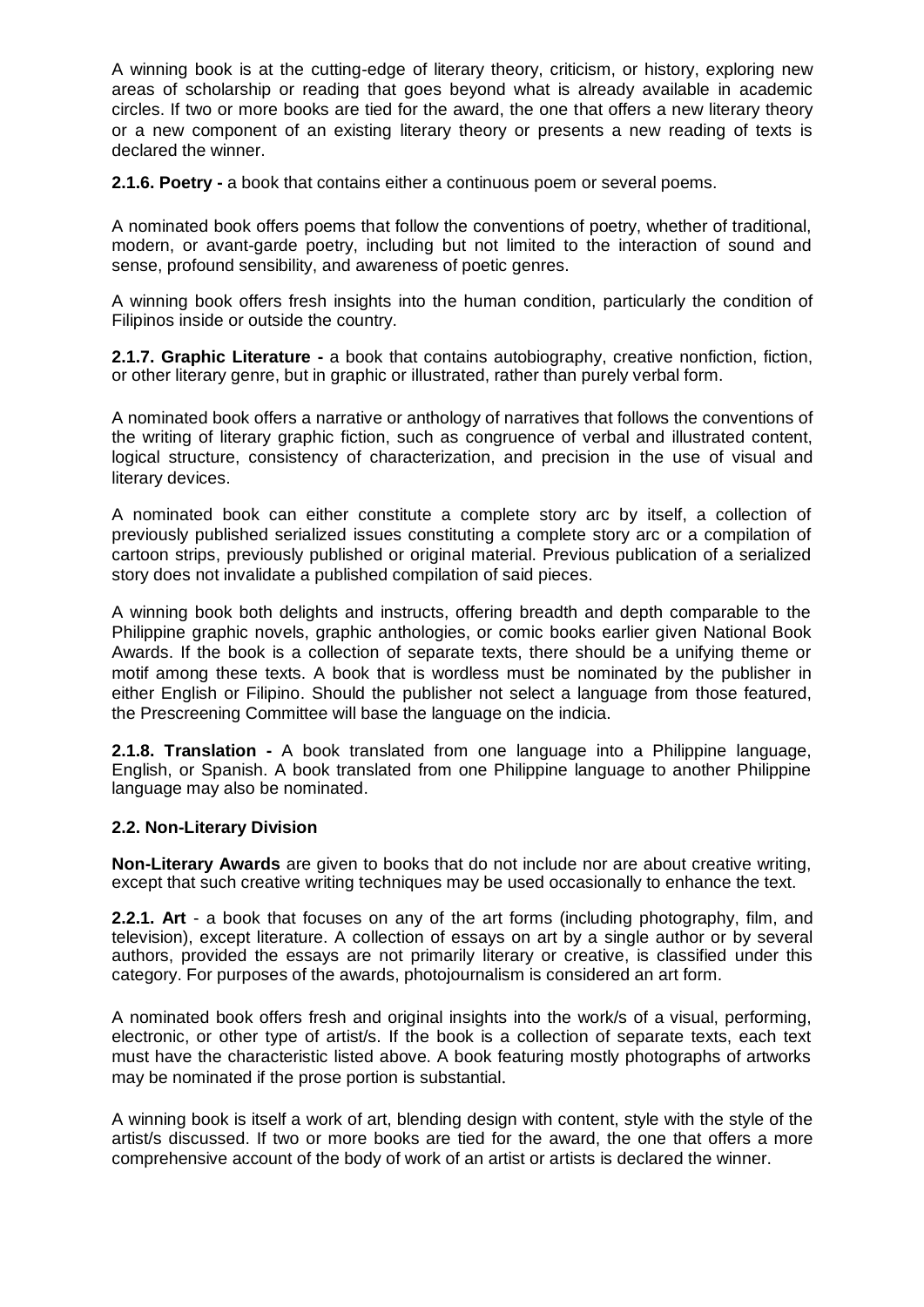A winning book is at the cutting-edge of literary theory, criticism, or history, exploring new areas of scholarship or reading that goes beyond what is already available in academic circles. If two or more books are tied for the award, the one that offers a new literary theory or a new component of an existing literary theory or presents a new reading of texts is declared the winner.

**2.1.6. Poetry -** a book that contains either a continuous poem or several poems.

A nominated book offers poems that follow the conventions of poetry, whether of traditional, modern, or avant-garde poetry, including but not limited to the interaction of sound and sense, profound sensibility, and awareness of poetic genres.

A winning book offers fresh insights into the human condition, particularly the condition of Filipinos inside or outside the country.

**2.1.7. Graphic Literature -** a book that contains autobiography, creative nonfiction, fiction, or other literary genre, but in graphic or illustrated, rather than purely verbal form.

A nominated book offers a narrative or anthology of narratives that follows the conventions of the writing of literary graphic fiction, such as congruence of verbal and illustrated content, logical structure, consistency of characterization, and precision in the use of visual and literary devices.

A nominated book can either constitute a complete story arc by itself, a collection of previously published serialized issues constituting a complete story arc or a compilation of cartoon strips, previously published or original material. Previous publication of a serialized story does not invalidate a published compilation of said pieces.

A winning book both delights and instructs, offering breadth and depth comparable to the Philippine graphic novels, graphic anthologies, or comic books earlier given National Book Awards. If the book is a collection of separate texts, there should be a unifying theme or motif among these texts. A book that is wordless must be nominated by the publisher in either English or Filipino. Should the publisher not select a language from those featured, the Prescreening Committee will base the language on the indicia.

**2.1.8. Translation -** A book translated from one language into a Philippine language, English, or Spanish. A book translated from one Philippine language to another Philippine language may also be nominated.

## **2.2. Non-Literary Division**

**Non-Literary Awards** are given to books that do not include nor are about creative writing, except that such creative writing techniques may be used occasionally to enhance the text.

**2.2.1. Art** - a book that focuses on any of the art forms (including photography, film, and television), except literature. A collection of essays on art by a single author or by several authors, provided the essays are not primarily literary or creative, is classified under this category. For purposes of the awards, photojournalism is considered an art form.

A nominated book offers fresh and original insights into the work/s of a visual, performing, electronic, or other type of artist/s. If the book is a collection of separate texts, each text must have the characteristic listed above. A book featuring mostly photographs of artworks may be nominated if the prose portion is substantial.

A winning book is itself a work of art, blending design with content, style with the style of the artist/s discussed. If two or more books are tied for the award, the one that offers a more comprehensive account of the body of work of an artist or artists is declared the winner.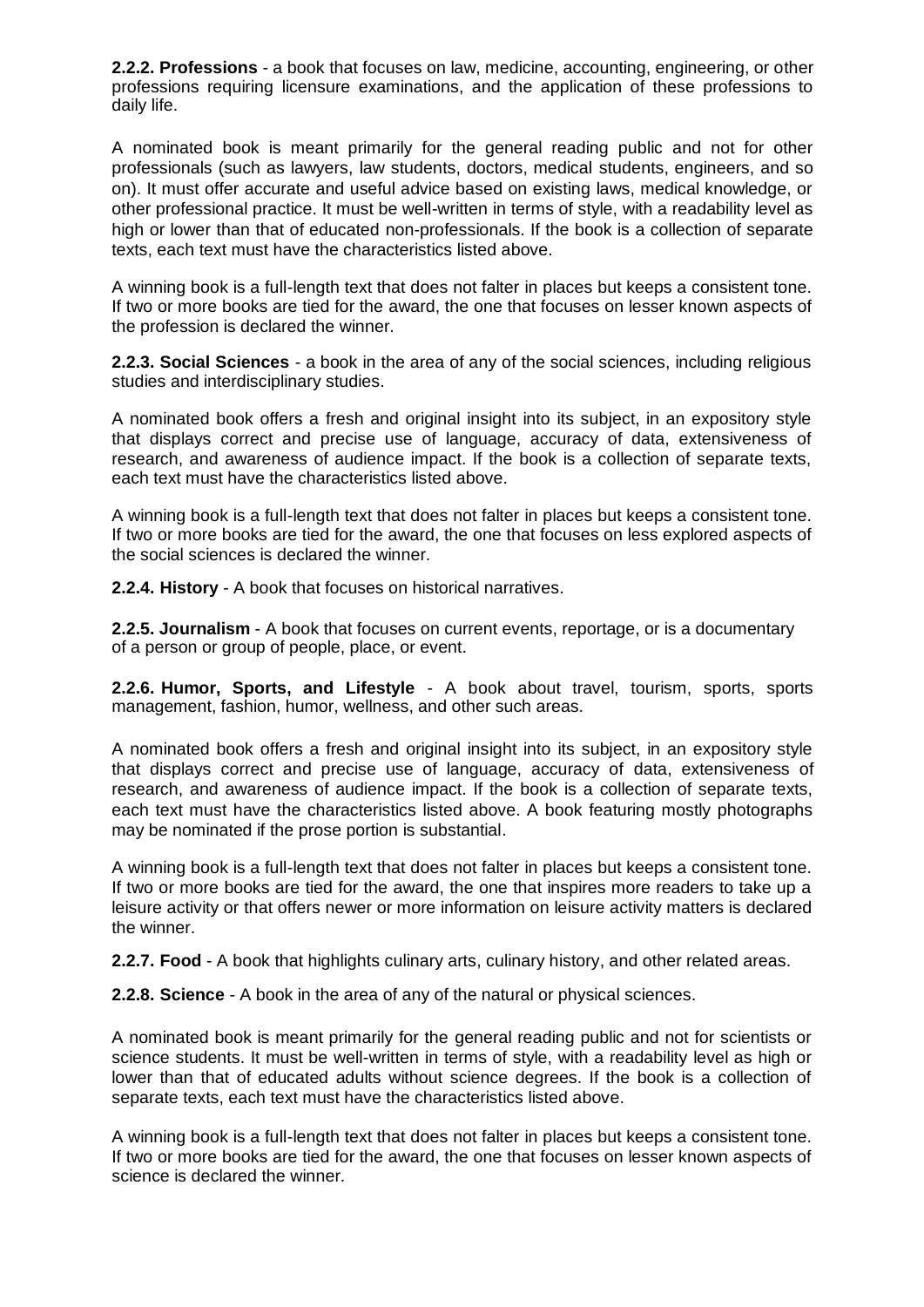**2.2.2. Professions** - a book that focuses on law, medicine, accounting, engineering, or other professions requiring licensure examinations, and the application of these professions to daily life.

A nominated book is meant primarily for the general reading public and not for other professionals (such as lawyers, law students, doctors, medical students, engineers, and so on). It must offer accurate and useful advice based on existing laws, medical knowledge, or other professional practice. It must be well-written in terms of style, with a readability level as high or lower than that of educated non-professionals. If the book is a collection of separate texts, each text must have the characteristics listed above.

A winning book is a full-length text that does not falter in places but keeps a consistent tone. If two or more books are tied for the award, the one that focuses on lesser known aspects of the profession is declared the winner.

**2.2.3. Social Sciences** - a book in the area of any of the social sciences, including religious studies and interdisciplinary studies.

A nominated book offers a fresh and original insight into its subject, in an expository style that displays correct and precise use of language, accuracy of data, extensiveness of research, and awareness of audience impact. If the book is a collection of separate texts, each text must have the characteristics listed above.

A winning book is a full-length text that does not falter in places but keeps a consistent tone. If two or more books are tied for the award, the one that focuses on less explored aspects of the social sciences is declared the winner.

**2.2.4. History** - A book that focuses on historical narratives.

**2.2.5. Journalism** - A book that focuses on current events, reportage, or is a documentary of a person or group of people, place, or event.

**2.2.6. Humor, Sports, and Lifestyle** - A book about travel, tourism, sports, sports management, fashion, humor, wellness, and other such areas.

A nominated book offers a fresh and original insight into its subject, in an expository style that displays correct and precise use of language, accuracy of data, extensiveness of research, and awareness of audience impact. If the book is a collection of separate texts, each text must have the characteristics listed above. A book featuring mostly photographs may be nominated if the prose portion is substantial.

A winning book is a full-length text that does not falter in places but keeps a consistent tone. If two or more books are tied for the award, the one that inspires more readers to take up a leisure activity or that offers newer or more information on leisure activity matters is declared the winner.

**2.2.7. Food** - A book that highlights culinary arts, culinary history, and other related areas.

**2.2.8. Science** - A book in the area of any of the natural or physical sciences.

A nominated book is meant primarily for the general reading public and not for scientists or science students. It must be well-written in terms of style, with a readability level as high or lower than that of educated adults without science degrees. If the book is a collection of separate texts, each text must have the characteristics listed above.

A winning book is a full-length text that does not falter in places but keeps a consistent tone. If two or more books are tied for the award, the one that focuses on lesser known aspects of science is declared the winner.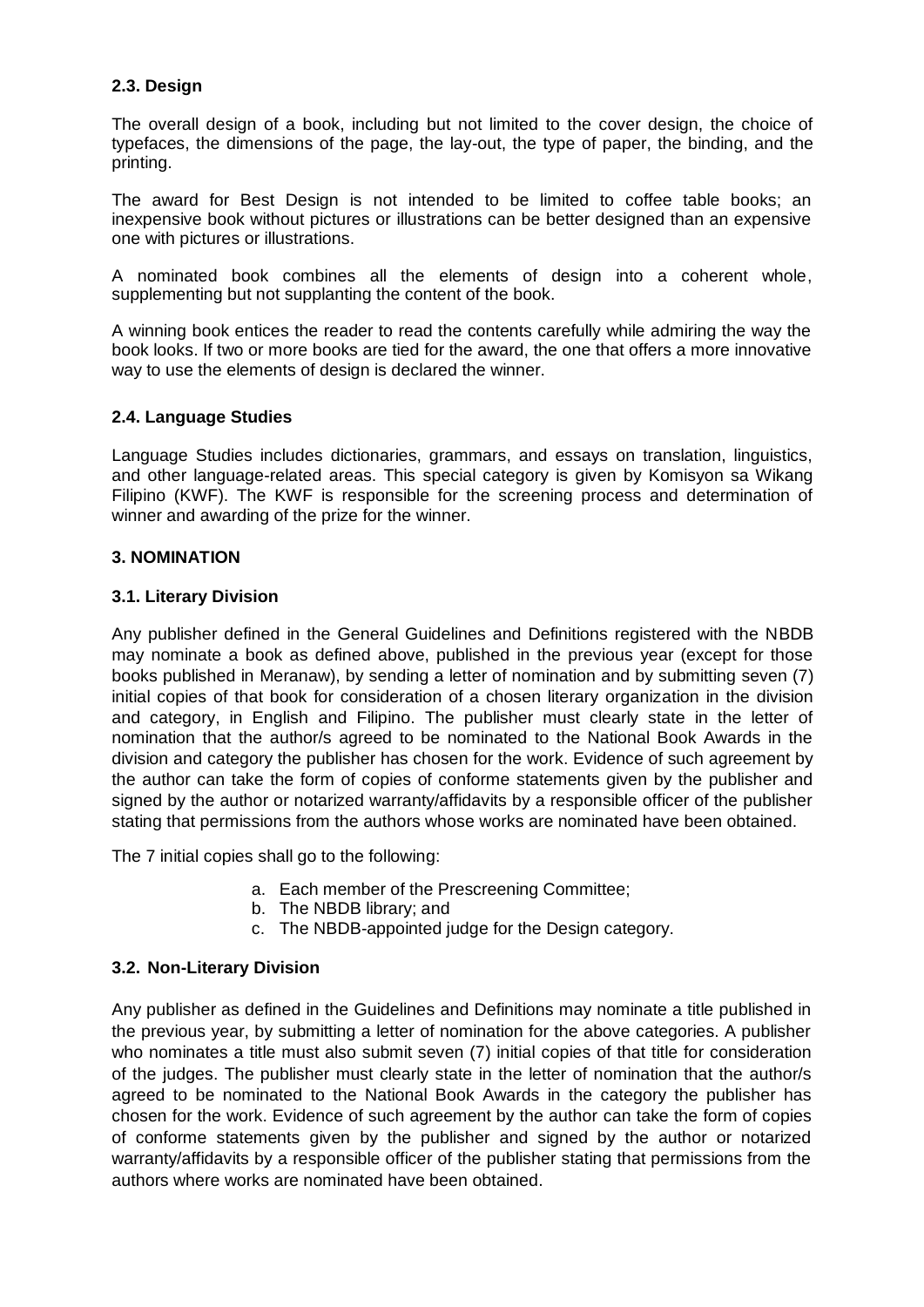## **2.3. Design**

The overall design of a book, including but not limited to the cover design, the choice of typefaces, the dimensions of the page, the lay-out, the type of paper, the binding, and the printing.

The award for Best Design is not intended to be limited to coffee table books; an inexpensive book without pictures or illustrations can be better designed than an expensive one with pictures or illustrations.

A nominated book combines all the elements of design into a coherent whole, supplementing but not supplanting the content of the book.

A winning book entices the reader to read the contents carefully while admiring the way the book looks. If two or more books are tied for the award, the one that offers a more innovative way to use the elements of design is declared the winner.

## **2.4. Language Studies**

Language Studies includes dictionaries, grammars, and essays on translation, linguistics, and other language-related areas. This special category is given by Komisyon sa Wikang Filipino (KWF). The KWF is responsible for the screening process and determination of winner and awarding of the prize for the winner.

## **3. NOMINATION**

## **3.1. Literary Division**

Any publisher defined in the General Guidelines and Definitions registered with the NBDB may nominate a book as defined above, published in the previous year (except for those books published in Meranaw), by sending a letter of nomination and by submitting seven (7) initial copies of that book for consideration of a chosen literary organization in the division and category, in English and Filipino. The publisher must clearly state in the letter of nomination that the author/s agreed to be nominated to the National Book Awards in the division and category the publisher has chosen for the work. Evidence of such agreement by the author can take the form of copies of conforme statements given by the publisher and signed by the author or notarized warranty/affidavits by a responsible officer of the publisher stating that permissions from the authors whose works are nominated have been obtained.

The 7 initial copies shall go to the following:

- a. Each member of the Prescreening Committee;
- b. The NBDB library; and
- c. The NBDB-appointed judge for the Design category.

## **3.2. Non-Literary Division**

Any publisher as defined in the Guidelines and Definitions may nominate a title published in the previous year, by submitting a letter of nomination for the above categories. A publisher who nominates a title must also submit seven (7) initial copies of that title for consideration of the judges. The publisher must clearly state in the letter of nomination that the author/s agreed to be nominated to the National Book Awards in the category the publisher has chosen for the work. Evidence of such agreement by the author can take the form of copies of conforme statements given by the publisher and signed by the author or notarized warranty/affidavits by a responsible officer of the publisher stating that permissions from the authors where works are nominated have been obtained.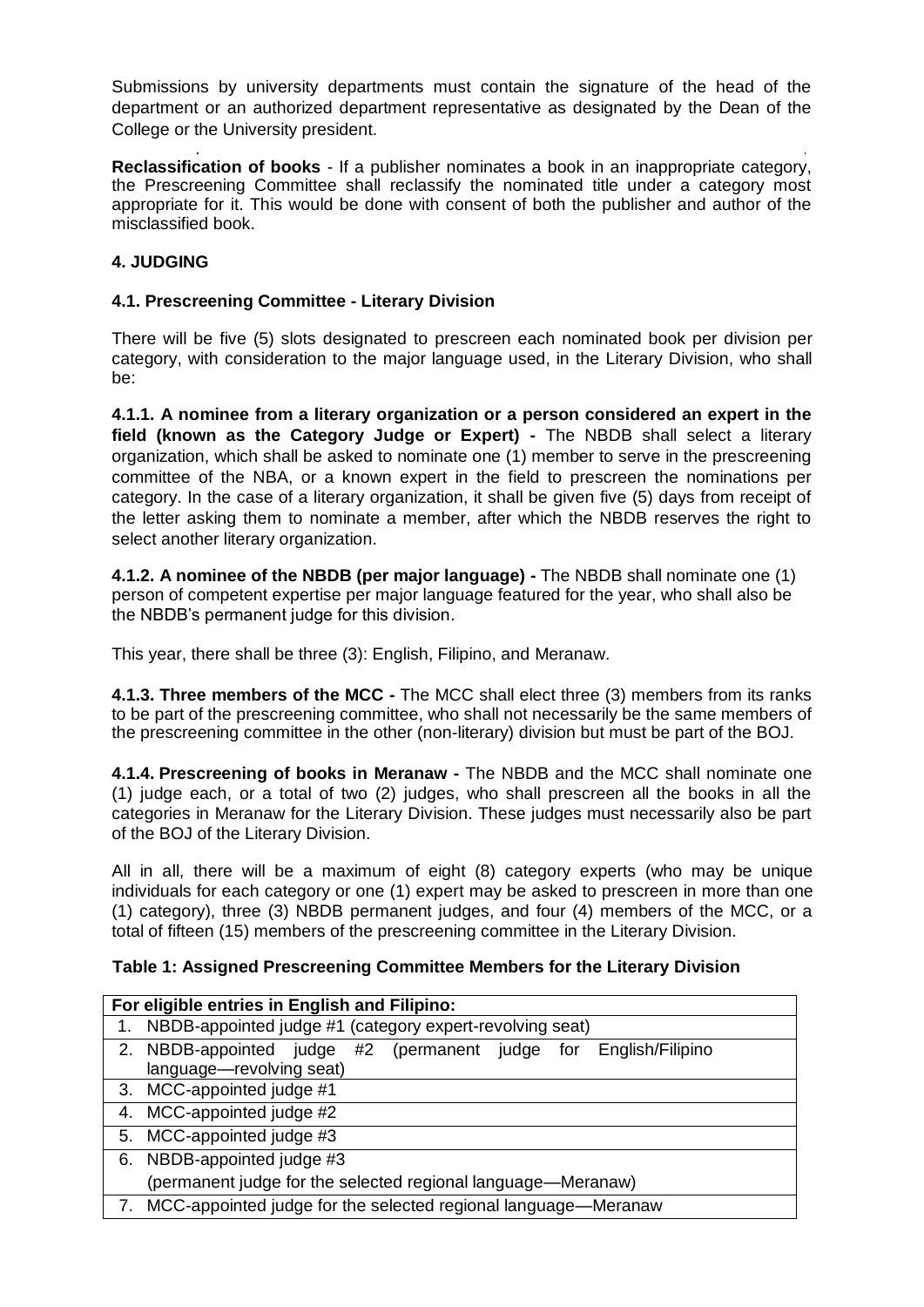Submissions by university departments must contain the signature of the head of the department or an authorized department representative as designated by the Dean of the College or the University president.

**Reclassification of books** - If a publisher nominates a book in an inappropriate category, the Prescreening Committee shall reclassify the nominated title under a category most appropriate for it. This would be done with consent of both the publisher and author of the misclassified book.

# **4. JUDGING**

## **4.1. Prescreening Committee - Literary Division**

There will be five (5) slots designated to prescreen each nominated book per division per category, with consideration to the major language used, in the Literary Division, who shall be:

**4.1.1. A nominee from a literary organization or a person considered an expert in the field (known as the Category Judge or Expert) -** The NBDB shall select a literary organization, which shall be asked to nominate one (1) member to serve in the prescreening committee of the NBA, or a known expert in the field to prescreen the nominations per category. In the case of a literary organization, it shall be given five (5) days from receipt of the letter asking them to nominate a member, after which the NBDB reserves the right to select another literary organization.

**4.1.2. A nominee of the NBDB (per major language) -** The NBDB shall nominate one (1) person of competent expertise per major language featured for the year, who shall also be the NBDB's permanent judge for this division.

This year, there shall be three (3): English, Filipino, and Meranaw.

**4.1.3. Three members of the MCC -** The MCC shall elect three (3) members from its ranks to be part of the prescreening committee, who shall not necessarily be the same members of the prescreening committee in the other (non-literary) division but must be part of the BOJ.

**4.1.4. Prescreening of books in Meranaw -** The NBDB and the MCC shall nominate one (1) judge each, or a total of two (2) judges, who shall prescreen all the books in all the categories in Meranaw for the Literary Division. These judges must necessarily also be part of the BOJ of the Literary Division.

All in all, there will be a maximum of eight (8) category experts (who may be unique individuals for each category or one (1) expert may be asked to prescreen in more than one (1) category), three (3) NBDB permanent judges, and four (4) members of the MCC, or a total of fifteen (15) members of the prescreening committee in the Literary Division.

## **Table 1: Assigned Prescreening Committee Members for the Literary Division**

| For eligible entries in English and Filipino: |                                                                  |  |  |
|-----------------------------------------------|------------------------------------------------------------------|--|--|
| 1.                                            | NBDB-appointed judge #1 (category expert-revolving seat)         |  |  |
|                                               | 2. NBDB-appointed judge #2 (permanent judge for English/Filipino |  |  |
|                                               | language-revolving seat)                                         |  |  |
|                                               | 3. MCC-appointed judge #1                                        |  |  |
| 4.                                            | MCC-appointed judge #2                                           |  |  |
|                                               | 5. MCC-appointed judge #3                                        |  |  |
|                                               | 6. NBDB-appointed judge #3                                       |  |  |
|                                               | (permanent judge for the selected regional language—Meranaw)     |  |  |
|                                               | MCC-appointed judge for the selected regional language—Meranaw   |  |  |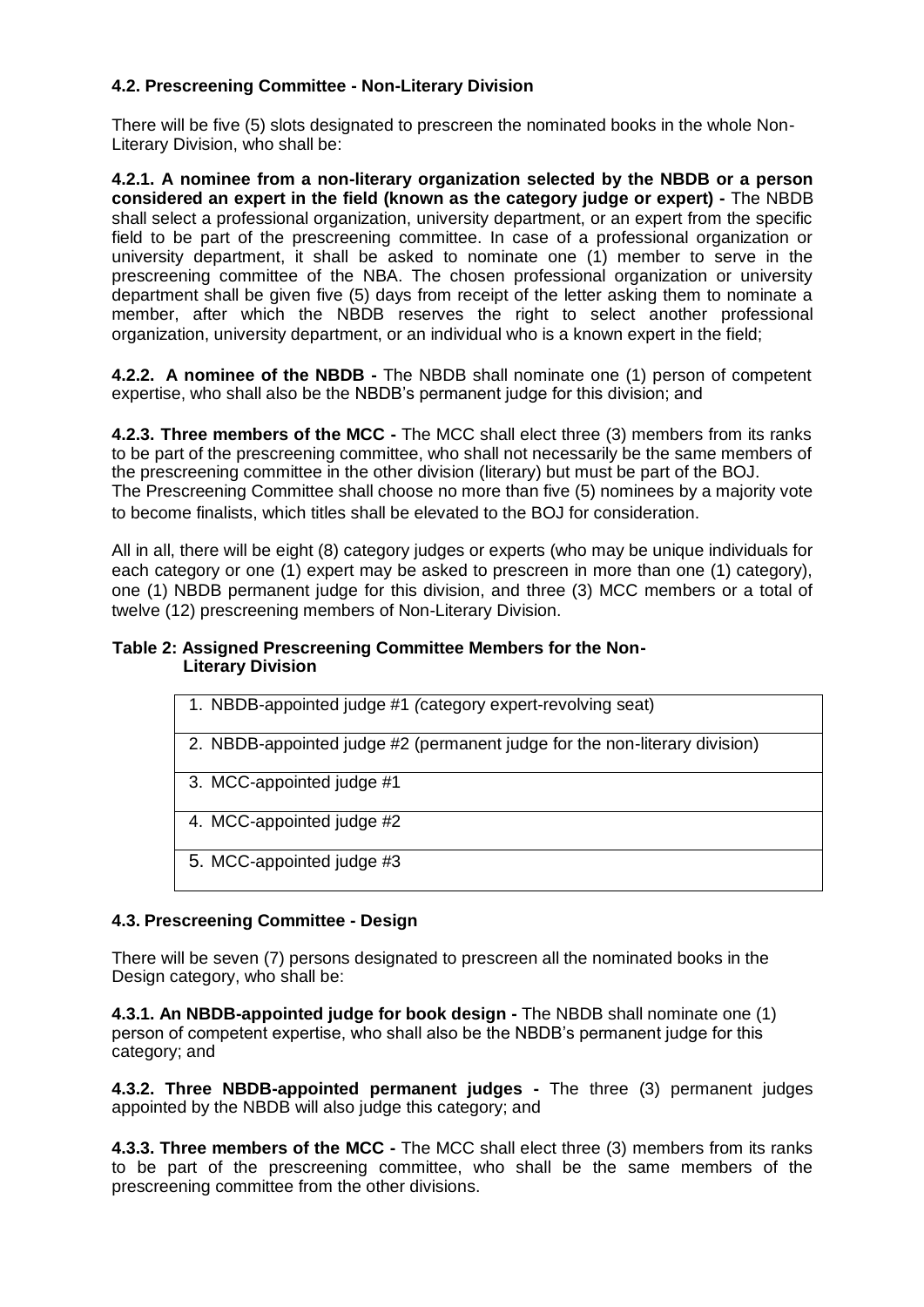# **4.2. Prescreening Committee - Non-Literary Division**

There will be five (5) slots designated to prescreen the nominated books in the whole Non-Literary Division, who shall be:

**4.2.1. A nominee from a non-literary organization selected by the NBDB or a person considered an expert in the field (known as the category judge or expert) -** The NBDB shall select a professional organization, university department, or an expert from the specific field to be part of the prescreening committee. In case of a professional organization or university department, it shall be asked to nominate one (1) member to serve in the prescreening committee of the NBA. The chosen professional organization or university department shall be given five (5) days from receipt of the letter asking them to nominate a member, after which the NBDB reserves the right to select another professional organization, university department, or an individual who is a known expert in the field;

**4.2.2. A nominee of the NBDB -** The NBDB shall nominate one (1) person of competent expertise, who shall also be the NBDB's permanent judge for this division; and

**4.2.3. Three members of the MCC -** The MCC shall elect three (3) members from its ranks to be part of the prescreening committee, who shall not necessarily be the same members of the prescreening committee in the other division (literary) but must be part of the BOJ. The Prescreening Committee shall choose no more than five (5) nominees by a majority vote to become finalists, which titles shall be elevated to the BOJ for consideration.

All in all, there will be eight (8) category judges or experts (who may be unique individuals for each category or one (1) expert may be asked to prescreen in more than one (1) category), one (1) NBDB permanent judge for this division, and three (3) MCC members or a total of twelve (12) prescreening members of Non-Literary Division.

#### **Table 2: Assigned Prescreening Committee Members for the Non-Literary Division**

| 1. NBDB-appointed judge #1 (category expert-revolving seat)                |
|----------------------------------------------------------------------------|
| 2. NBDB-appointed judge #2 (permanent judge for the non-literary division) |
| 3. MCC-appointed judge #1                                                  |
| 4. MCC-appointed judge #2                                                  |
| 5. MCC-appointed judge #3                                                  |

# **4.3. Prescreening Committee - Design**

There will be seven (7) persons designated to prescreen all the nominated books in the Design category, who shall be:

**4.3.1. An NBDB-appointed judge for book design -** The NBDB shall nominate one (1) person of competent expertise, who shall also be the NBDB's permanent judge for this category; and

**4.3.2. Three NBDB-appointed permanent judges -** The three (3) permanent judges appointed by the NBDB will also judge this category; and

**4.3.3. Three members of the MCC -** The MCC shall elect three (3) members from its ranks to be part of the prescreening committee, who shall be the same members of the prescreening committee from the other divisions.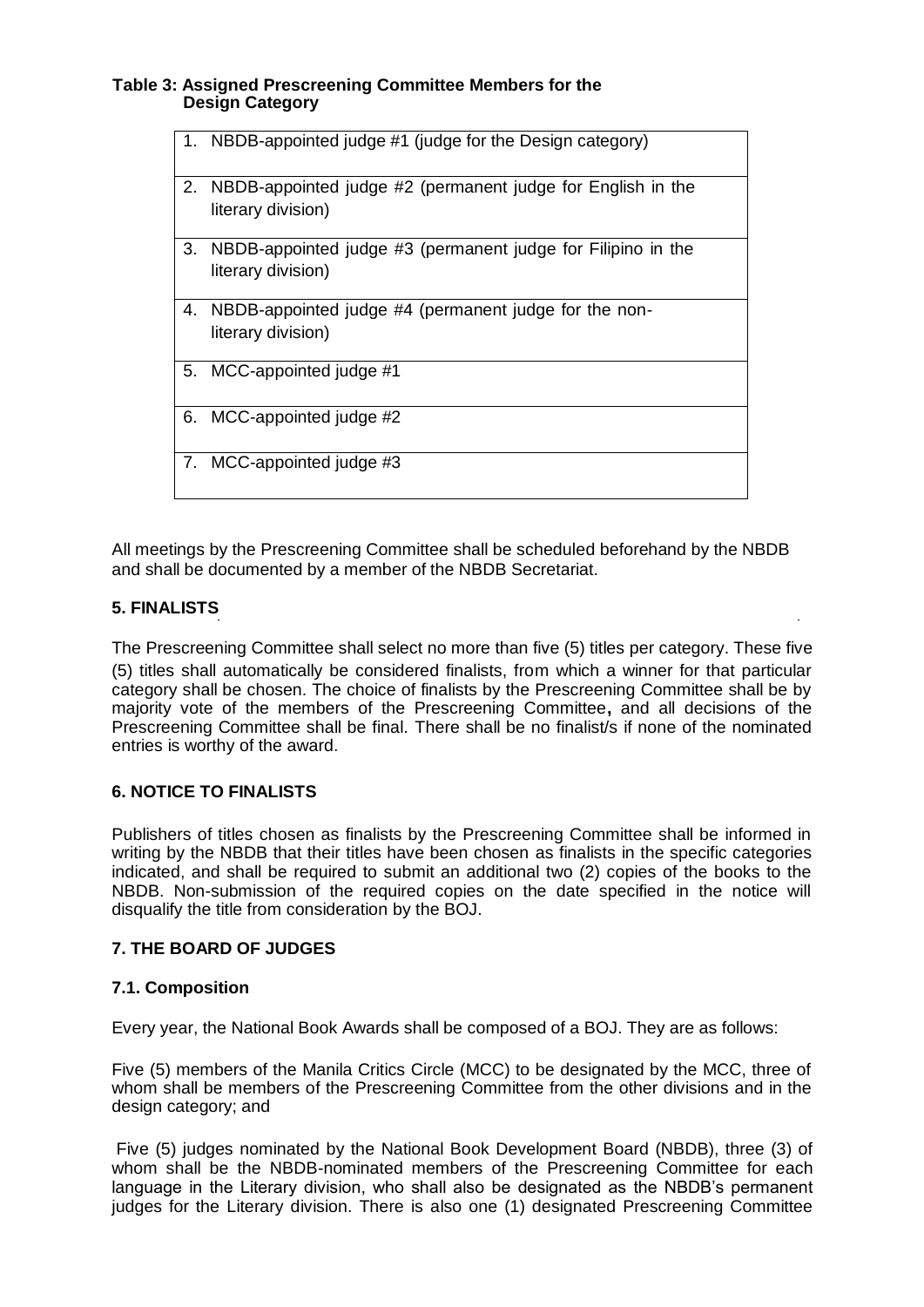#### **Table 3: Assigned Prescreening Committee Members for the Design Category**

| 1. | NBDB-appointed judge #1 (judge for the Design category)                            |
|----|------------------------------------------------------------------------------------|
| 2. | NBDB-appointed judge #2 (permanent judge for English in the<br>literary division)  |
| 3. | NBDB-appointed judge #3 (permanent judge for Filipino in the<br>literary division) |
| 4. | NBDB-appointed judge #4 (permanent judge for the non-<br>literary division)        |
|    | 5. MCC-appointed judge #1                                                          |
|    | 6. MCC-appointed judge #2                                                          |
|    | 7. MCC-appointed judge #3                                                          |

All meetings by the Prescreening Committee shall be scheduled beforehand by the NBDB and shall be documented by a member of the NBDB Secretariat.

## **5. FINALISTS**

The Prescreening Committee shall select no more than five (5) titles per category. These five (5) titles shall automatically be considered finalists, from which a winner for that particular category shall be chosen. The choice of finalists by the Prescreening Committee shall be by majority vote of the members of the Prescreening Committee**,** and all decisions of the Prescreening Committee shall be final. There shall be no finalist/s if none of the nominated entries is worthy of the award.

## **6. NOTICE TO FINALISTS**

Publishers of titles chosen as finalists by the Prescreening Committee shall be informed in writing by the NBDB that their titles have been chosen as finalists in the specific categories indicated, and shall be required to submit an additional two (2) copies of the books to the NBDB. Non-submission of the required copies on the date specified in the notice will disqualify the title from consideration by the BOJ.

## **7. THE BOARD OF JUDGES**

## **7.1. Composition**

Every year, the National Book Awards shall be composed of a BOJ. They are as follows:

Five (5) members of the Manila Critics Circle (MCC) to be designated by the MCC, three of whom shall be members of the Prescreening Committee from the other divisions and in the design category; and

Five (5) judges nominated by the National Book Development Board (NBDB), three (3) of whom shall be the NBDB-nominated members of the Prescreening Committee for each language in the Literary division, who shall also be designated as the NBDB's permanent judges for the Literary division. There is also one (1) designated Prescreening Committee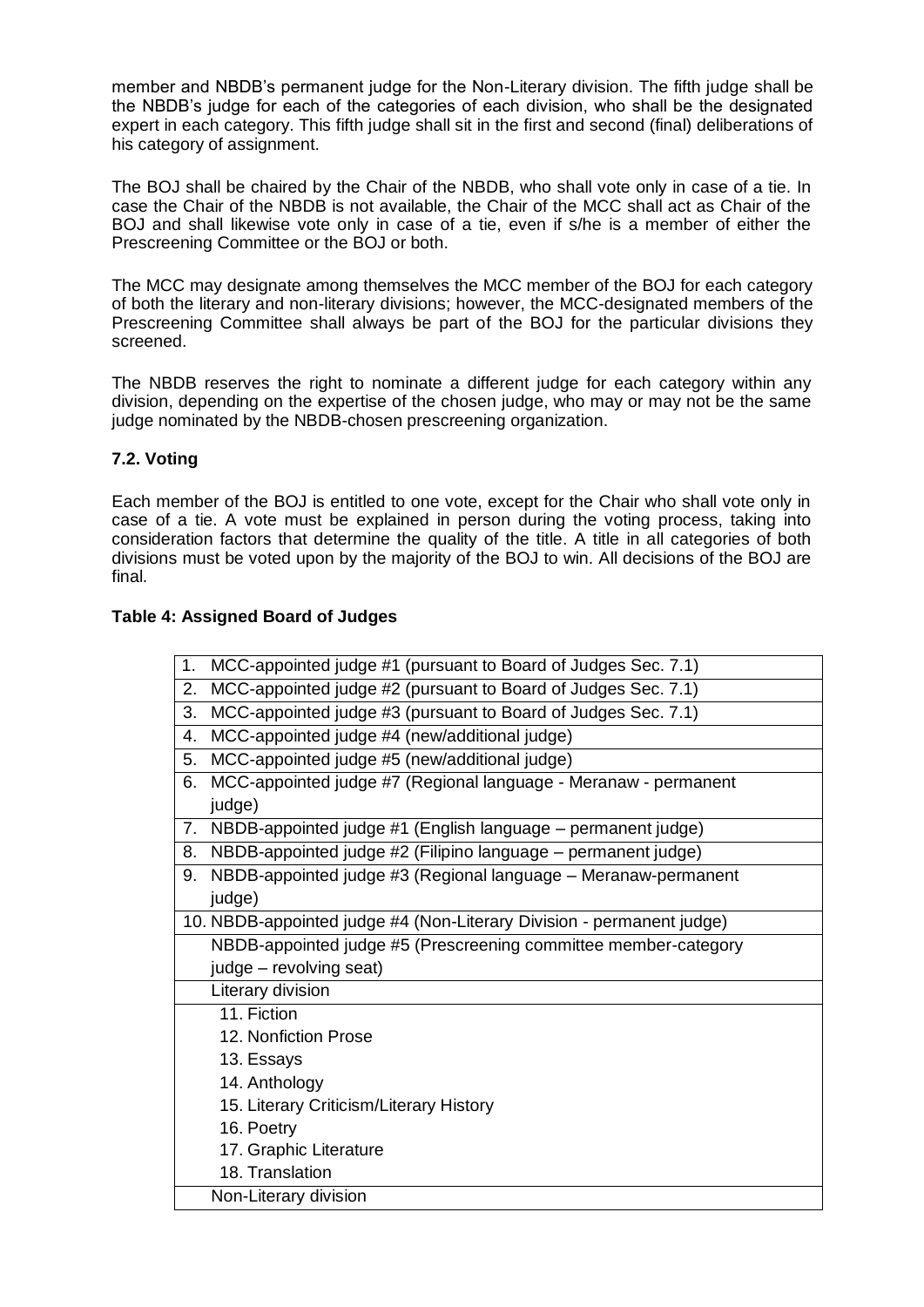member and NBDB's permanent judge for the Non-Literary division. The fifth judge shall be the NBDB's judge for each of the categories of each division, who shall be the designated expert in each category. This fifth judge shall sit in the first and second (final) deliberations of his category of assignment.

The BOJ shall be chaired by the Chair of the NBDB, who shall vote only in case of a tie. In case the Chair of the NBDB is not available, the Chair of the MCC shall act as Chair of the BOJ and shall likewise vote only in case of a tie, even if s/he is a member of either the Prescreening Committee or the BOJ or both.

The MCC may designate among themselves the MCC member of the BOJ for each category of both the literary and non-literary divisions; however, the MCC-designated members of the Prescreening Committee shall always be part of the BOJ for the particular divisions they screened.

The NBDB reserves the right to nominate a different judge for each category within any division, depending on the expertise of the chosen judge, who may or may not be the same judge nominated by the NBDB-chosen prescreening organization.

# **7.2. Voting**

Each member of the BOJ is entitled to one vote, except for the Chair who shall vote only in case of a tie. A vote must be explained in person during the voting process, taking into consideration factors that determine the quality of the title. A title in all categories of both divisions must be voted upon by the majority of the BOJ to win. All decisions of the BOJ are final.

## **Table 4: Assigned Board of Judges**

| 1. | MCC-appointed judge #1 (pursuant to Board of Judges Sec. 7.1)         |
|----|-----------------------------------------------------------------------|
| 2. | MCC-appointed judge #2 (pursuant to Board of Judges Sec. 7.1)         |
| 3. | MCC-appointed judge #3 (pursuant to Board of Judges Sec. 7.1)         |
| 4. | MCC-appointed judge #4 (new/additional judge)                         |
| 5. | MCC-appointed judge #5 (new/additional judge)                         |
| 6. | MCC-appointed judge #7 (Regional language - Meranaw - permanent       |
|    | judge)                                                                |
| 7. | NBDB-appointed judge #1 (English language – permanent judge)          |
| 8. | NBDB-appointed judge #2 (Filipino language – permanent judge)         |
| 9. | NBDB-appointed judge #3 (Regional language - Meranaw-permanent        |
|    | judge)                                                                |
|    | 10. NBDB-appointed judge #4 (Non-Literary Division - permanent judge) |
|    | NBDB-appointed judge #5 (Prescreening committee member-category       |
|    | judge – revolving seat)                                               |
|    | Literary division                                                     |
|    | 11. Fiction                                                           |
|    | 12. Nonfiction Prose                                                  |
|    | 13. Essays                                                            |
|    | 14. Anthology                                                         |
|    | 15. Literary Criticism/Literary History                               |
|    | 16. Poetry                                                            |
|    | 17. Graphic Literature                                                |
|    | 18. Translation                                                       |
|    | Non-Literary division                                                 |